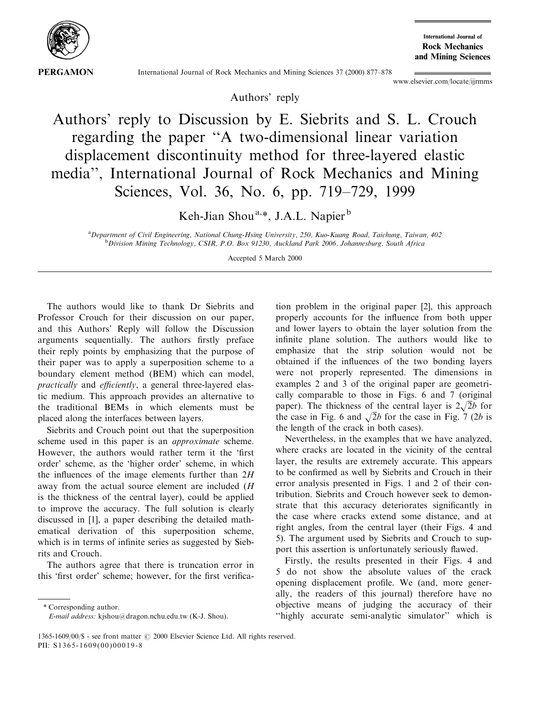

**International Journal of Rock Mechanics** and Mining Sciences

International Journal of Rock Mechanics and Mining Sciences 37 (2000) 877-878

www.elsevier.com/locate/ijrmms

Authors' reply

Authors' reply to Discussion by E. Siebrits and S. L. Crouch regarding the paper "A two-dimensional linear variation displacement discontinuity method for three-layered elastic media'', International Journal of Rock Mechanics and Mining Sciences, Vol. 36, No. 6, pp. 719-729, 1999

Keh-Jian Shou<sup>a,\*</sup>, J.A.L. Napier<sup>b</sup>

a Department of Civil Engineering, National Chung-Hsing University, 250, Kuo-Kuang Road, Taichung, Taiwan, 402 **b** Division Mining Technology, CSIR, P.O. Box 91230, Auckland Park 2006, Johannesburg, South Africa

Accepted 5 March 2000

The authors would like to thank Dr Siebrits and Professor Crouch for their discussion on our paper, and this Authors' Reply will follow the Discussion arguments sequentially. The authors firstly preface their reply points by emphasizing that the purpose of their paper was to apply a superposition scheme to a boundary element method (BEM) which can model, practically and efficiently, a general three-layered elastic medium. This approach provides an alternative to the traditional BEMs in which elements must be placed along the interfaces between layers.

Siebrits and Crouch point out that the superposition scheme used in this paper is an approximate scheme. However, the authors would rather term it the 'first order' scheme, as the `higher order' scheme, in which the influences of the image elements further than  $2H$ away from the actual source element are included (H is the thickness of the central layer), could be applied to improve the accuracy. The full solution is clearly discussed in [1], a paper describing the detailed mathematical derivation of this superposition scheme, which is in terms of infinite series as suggested by Siebrits and Crouch.

The authors agree that there is truncation error in this 'first order' scheme; however, for the first verifica-

\* Corresponding author.

tion problem in the original paper [2], this approach properly accounts for the influence from both upper and lower layers to obtain the layer solution from the infinite plane solution. The authors would like to emphasize that the strip solution would not be obtained if the influences of the two bonding layers were not properly represented. The dimensions in examples 2 and 3 of the original paper are geometrically comparable to those in Figs. 6 and 7 (original paper). The thickness of the central layer is  $2\sqrt{2}b$  for the case in Fig. 6 and  $\sqrt{2}b$  for the case in Fig. 7 (2b is the length of the crack in both cases).

Nevertheless, in the examples that we have analyzed, where cracks are located in the vicinity of the central layer, the results are extremely accurate. This appears to be confirmed as well by Siebrits and Crouch in their error analysis presented in Figs. 1 and 2 of their contribution. Siebrits and Crouch however seek to demonstrate that this accuracy deteriorates significantly in the case where cracks extend some distance, and at right angles, from the central layer (their Figs. 4 and 5). The argument used by Siebrits and Crouch to support this assertion is unfortunately seriously flawed.

Firstly, the results presented in their Figs. 4 and 5 do not show the absolute values of the crack opening displacement profile. We (and, more generally, the readers of this journal) therefore have no objective means of judging the accuracy of their ``highly accurate semi-analytic simulator'' which is

E-mail address: kjshou@dragon.nchu.edu.tw (K-J. Shou).

<sup>1365-1609/00/\$ -</sup> see front matter  $\odot$  2000 Elsevier Science Ltd. All rights reserved. PII: S 1 3 6 5 - 1 6 0 9 ( 0 0 ) 0 0 0 1 9 - 8